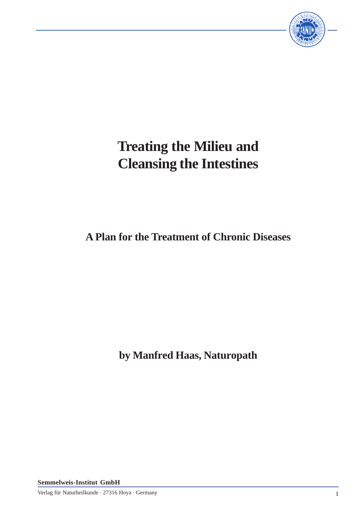

# **Treating the Milieu and Cleansing the Intestines**

# **A Plan for the Treatment of Chronic Diseases**

**by Manfred Haas, Naturopath**

**Semmelweis-Institut GmbH**

Verlag für Naturheilkunde · 27316 Hoya · Germany 1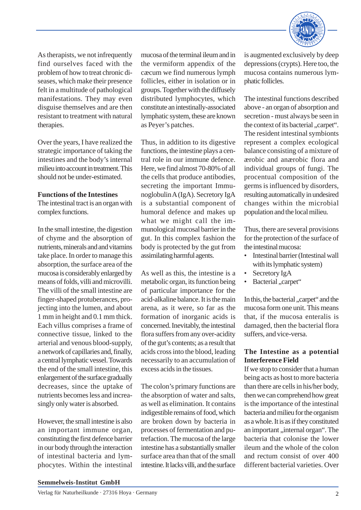

As therapists, we not infrequently find ourselves faced with the problem of how to treat chronic diseases, which make their presence felt in a multitude of pathological manifestations. They may even disguise themselves and are then resistant to treatment with natural therapies.

Over the years, I have realized the strategic importance of taking the intestines and the body's internal milieu into account in treatment. This should not be under-estimated.

# **Functions of the Intestines**

The intestinal tract is an organ with complex functions.

In the small intestine, the digestion of chyme and the absorption of nutrients, minerals and and vitamins take place. In order to manage this absorption, the surface area of the mucosa is considerably enlarged by means of folds, villi and microvilli. The villi of the small intestine are finger-shaped protuberances, projecting into the lumen, and about 1 mm in height and 0.1 mm thick. Each villus comprises a frame of connective tissue, linked to the arterial and venous blood-supply, a network of capillaries and, finally, a central lymphatic vessel. Towards the end of the small intestine, this enlargement of the surface gradually decreases, since the uptake of nutrients becomes less and increasingly only water is absorbed.

However, the small intestine is also an important immune organ, constituting the first defence barrier in our body through the interaction of intestinal bacteria and lymphocytes. Within the intestinal

mucosa of the terminal ileum and in the vermiform appendix of the cæcum we find numerous lymph follicles, either in isolation or in groups. Together with the diffusely distributed lymphocytes, which constitute an intestinally-associated lymphatic system, these are known as Peyer's patches.

Thus, in addition to its digestive functions, the intestine plays a central role in our immune defence. Here, we find almost 70-80% of all the cells that produce antibodies, secreting the important Immunoglobulin A (IgA). Secretory IgA is a substantial component of humoral defence and makes up what we might call the immunological mucosal barrier in the gut. In this complex fashion the body is protected by the gut from assimilating harmful agents.

As well as this, the intestine is a metabolic organ, its function being of particular importance for the acid-alkaline balance. It is the main arena, as it were, so far as the formation of inorganic acids is concerned. Inevitably, the intestinal flora suffers from any over-acidity of the gut's contents; as a result that acids cross into the blood, leading necessarily to an accumulation of excess acids in the tissues.

The colon's primary functions are the absorption of water and salts, as well as elimination. It contains indigestible remains of food, which are broken down by bacteria in processes of fermentation and putrefaction. The mucosa of the large intestine has a substantially smaller surface area than that of the small intestine. It lacks villi, and the surface is augmented exclusively by deep depressions (crypts). Here too, the mucosa contains numerous lymphatic follicles.

The intestinal functions described above - an organ of absorption and secretion - must always be seen in the context of its bacterial ..carpet". The resident intestinal symbionts represent a complex ecological balance consisting of a mixture of ærobic and anærobic flora and individual groups of fungi. The procentual composition of the germs is influenced by disorders, resulting automatically in undesired changes within the microbial population and the local milieu.

Thus, there are several provisions for the protection of the surface of the intestinal mucosa:

- Intestinal barrier (Intestinal wall with its lymphatic system)
- Secretory IgA
- Bacterial "carpet"

In this, the bacterial , carpet" and the mucosa form one unit. This means that, if the mucosa enteralis is damaged, then the bacterial flora suffers, and vice-versa.

# **The Intestine as a potential Interference Field**

If we stop to consider that a human being acts as host to more bacteria than there are cells in his/her body, then we can comprehend how great is the importance of the intestinal bacteria and milieu for the organism as a whole. It is as if they constituted an important , internal organ". The bacteria that colonise the lower ileum and the whole of the colon and rectum consist of over 400 different bacterial varieties. Over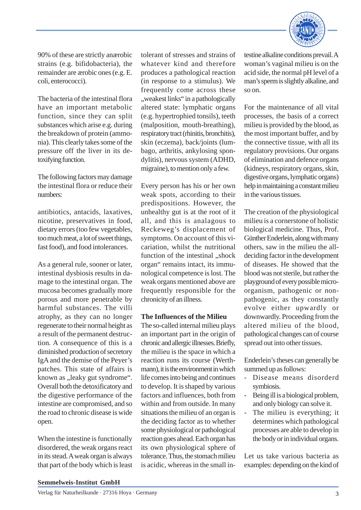

90% of these are strictly anærobic strains (e.g. bifidobacteria), the remainder are ærobic ones (e.g. E. coli, enterococci).

The bacteria of the intestinal flora have an important metabolic function, since they can split substances which arise e.g. during the breakdown of protein (ammonia). This clearly takes some of the pressure off the liver in its detoxifying function.

The following factors may damage the intestinal flora or reduce their numbers:

antibiotics, antacids, laxatives, nicotine, preservatives in food, dietary errors (too few vegetables, too much meat, a lot of sweet things, fast food), and food intolerances.

As a general rule, sooner or later, intestinal dysbiosis results in damage to the intestinal organ. The mucosa becomes gradually more porous and more penetrable by harmful substances. The villi atrophy, as they can no longer regenerate to their normal height as a result of the permanent destruction. A consequence of this is a diminished production of secretory IgA and the demise of the Peyer's patches. This state of affairs is known as "leaky gut syndrome". Overall both the detoxificatory and the digestive performance of the intestine are compromised, and so the road to chronic disease is wide open.

When the intestine is functionally disordered, the weak organs react in its stead. A weak organ is always that part of the body which is least tolerant of stresses and strains of whatever kind and therefore produces a pathological reaction (in response to a stimulus). We frequently come across these , weakest links" in a pathologically altered state: lymphatic organs (e.g. hypertrophied tonsils), teeth (malposition, mouth-breathing), respiratory tract (rhinitis, bronchitis), skin (eczema), back/joints (lumbago, arthritis, ankylosing spondylitis), nervous system (ADHD, migraine), to mention only a few.

Every person has his or her own weak spots, according to their predispositions. However, the unhealthy gut is at the root of it all, and this is analagous to Reckeweg's displacement of symptoms. On account of this vicariation, whilst the nutritional function of the intestinal ..shock organ" remains intact, its immunological competence is lost. The weak organs mentioned above are frequently responsible for the chronicity of an illness.

# **The Influences of the Milieu**

The so-called internal milieu plays an important part in the origin of chronic and allergic illnesses. Briefly, the milieu is the space in which a reaction runs its course (Werthmann), it is the environment in which life comes into being and continues to develop. It is shaped by various factors and influences, both from within and from outside. In many situations the milieu of an organ is the deciding factor as to whether some physiological or pathological reaction goes ahead. Each organ has its own physiological sphere of tolerance. Thus, the stomach milieu is acidic, whereas in the small intestine alkaline conditions prevail. A woman's vaginal milieu is on the acid side, the normal pH level of a man's sperm is slightly alkaline, and so on.

For the maintenance of all vital processes, the basis of a correct milieu is provided by the blood, as the most important buffer, and by the connective tissue, with all its regulatory provisions. Our organs of elimination and defence organs (kidneys, respiratory organs, skin, digestive organs, lymphatic organs) help in maintaining a constant milieu in the various tissues.

The creation of the physiological milieu is a cornerstone of holistic biological medicine. Thus, Prof. Günther Enderlein, along with many others, saw in the milieu the alldeciding factor in the development of diseases. He showed that the blood was not sterile, but rather the playground of every possible microorganism, pathogenic or nonpathogenic, as they constantly evolve either upwardly or downwardly. Proceeding from the altered milieu of the blood, pathological changes can of course spread out into other tissues.

Enderlein's theses can generally be summed up as follows:

- Disease means disorderd symbiosis.
- Being ill is a biological problem, and only biology can solve it.
- The milieu is everything; it determines which pathological processes are able to develop in the body or in individual organs.

Let us take various bacteria as examples: depending on the kind of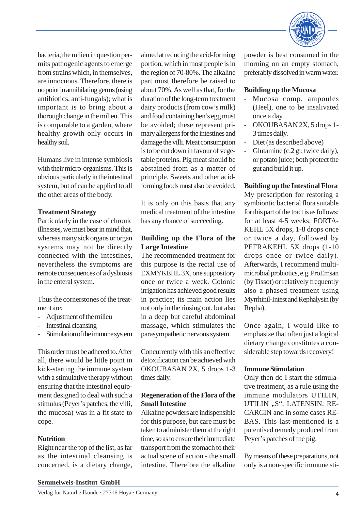

bacteria, the milieu in question permits pathogenic agents to emerge from strains which, in themselves, are innocuous. Therefore, there is no point in annihilating germs (using antibiotics, anti-fungals); what is important is to bring about a thorough change in the milieu. This is comparable to a garden, where healthy growth only occurs in healthy soil.

Humans live in intense symbiosis with their micro-organisms. This is obvious particularly in the intestinal system, but of can be applied to all the other areas of the body.

# **Treatment Strategy**

Particularly in the case of chronic illnesses, we must bear in mind that, whereas many sick organs or organ systems may not be directly connected with the intestines, nevertheless the symptoms are remote consequences of a dysbiosis in the enteral system.

Thus the cornerstones of the treatment are:

- Adjustment of the milieu
- Intestinal cleansing
- Stimulation of the immune system

This order must be adhered to. After all, there would be little point in kick-starting the immune system with a stimulative therapy without ensuring that the intestinal equipment designed to deal with such a stimulus (Peyer's patches, the villi, the mucosa) was in a fit state to cope.

### **Nutrition**

Right near the top of the list, as far as the intestinal cleansing is concerned, is a dietary change,

aimed at reducing the acid-forming portion, which in most people is in the region of 70-80%. The alkaline part must therefore be raised to about 70%. As well as that, for the duration of the long-term treatment dairy products (from cow's milk) and food containing hen's egg must be avoided; these represent primary allergens for the intestines and damage the villi. Meat consumption is to be cut down in favour of vegetable proteins. Pig meat should be abstained from as a matter of principle. Sweets and other acidforming foods must also be avoided.

It is only on this basis that any medical treatment of the intestine has any chance of succeeding.

# **Building up the Flora of the Large Intestine**

The recommended treatment for this purpose is the rectal use of EXMYKEHL 3X, one suppository once or twice a week. Colonic irrigation has achieved good results in practice; its main action lies not only in the rinsing out, but also in a deep but careful abdominal massage, which stimulates the parasympathetic nervous system.

Concurrently with this an effective detoxification can be achieved with OKOUBASAN 2X, 5 drops 1-3 times daily.

# **Regeneration of the Flora of the Small Intestine**

Alkaline powders are indispensible for this purpose, but care must be taken to administer them at the right time, so as to ensure their immediate transport from the stomach to their actual scene of action - the small intestine. Therefore the alkaline

powder is best consumed in the morning on an empty stomach, preferably dissolved in warm water.

### **Building up the Mucosa**

- Mucosa comp. ampoules (Heel), one to be insalivated once a day.
- OKOUBASAN 2X, 5 drops 1- 3 times daily.
- Diet (as described above)
- Glutamine (c.2 gr. twice daily), or potato juice; both protect the gut and build it up.

### **Building up the Intestinal Flora**

My prescription for restoring a symbiontic bacterial flora suitable for this part of the tract is as follows: for at least 4-5 weeks: FORTA-KEHL 5X drops, 1-8 drops once or twice a day, followed by PEFRAKEHL 5X drops (1-10 drops once or twice daily). Afterwards, I recommend multimicrobial probiotics, e.g. ProEmsan (by Tissot) or relatively frequently also a phased treatment using Myrrhinil-Intest and Rephalysin (by Repha).

Once again, I would like to emphasize that often just a logical dietary change constitutes a considerable step towards recovery!

#### **Immune Stimulation**

Only then do I start the stimulative treatment, as a rule using the immune modulators UTILIN, UTILIN "S", LATENSIN, RE-CARCIN and in some cases RE-BAS. This last-mentioned is a potentised remedy produced from Peyer's patches of the pig.

By means of these preparations, not only is a non-specific immune sti-